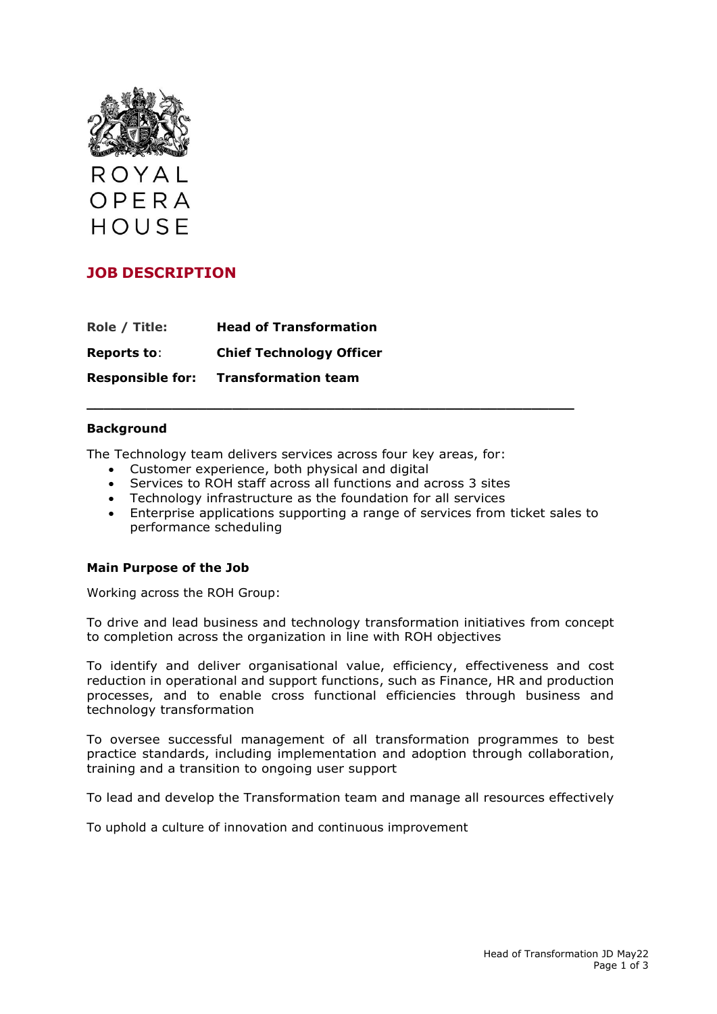

## **JOB DESCRIPTION**

| Role / Title:           | <b>Head of Transformation</b>   |
|-------------------------|---------------------------------|
| <b>Reports to:</b>      | <b>Chief Technology Officer</b> |
| <b>Responsible for:</b> | <b>Transformation team</b>      |

### **Background**

The Technology team delivers services across four key areas, for:

- Customer experience, both physical and digital
- Services to ROH staff across all functions and across 3 sites

**\_\_\_\_\_\_\_\_\_\_\_\_\_\_\_\_\_\_\_\_\_\_\_\_\_\_\_\_\_\_\_\_\_\_\_\_\_\_\_\_\_\_\_\_\_\_\_\_\_\_\_\_\_\_\_\_\_**

- Technology infrastructure as the foundation for all services
- Enterprise applications supporting a range of services from ticket sales to performance scheduling

#### **Main Purpose of the Job**

Working across the ROH Group:

To drive and lead business and technology transformation initiatives from concept to completion across the organization in line with ROH objectives

To identify and deliver organisational value, efficiency, effectiveness and cost reduction in operational and support functions, such as Finance, HR and production processes, and to enable cross functional efficiencies through business and technology transformation

To oversee successful management of all transformation programmes to best practice standards, including implementation and adoption through collaboration, training and a transition to ongoing user support

To lead and develop the Transformation team and manage all resources effectively

To uphold a culture of innovation and continuous improvement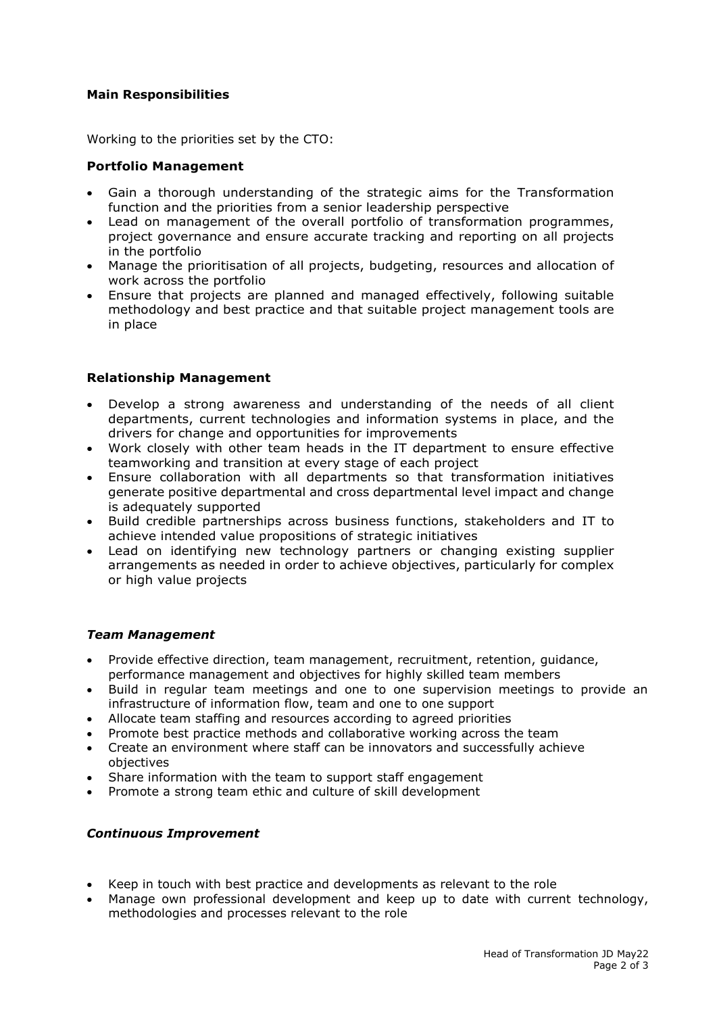## **Main Responsibilities**

Working to the priorities set by the CTO:

## **Portfolio Management**

- Gain a thorough understanding of the strategic aims for the Transformation function and the priorities from a senior leadership perspective
- Lead on management of the overall portfolio of transformation programmes, project governance and ensure accurate tracking and reporting on all projects in the portfolio
- Manage the prioritisation of all projects, budgeting, resources and allocation of work across the portfolio
- Ensure that projects are planned and managed effectively, following suitable methodology and best practice and that suitable project management tools are in place

### **Relationship Management**

- Develop a strong awareness and understanding of the needs of all client departments, current technologies and information systems in place, and the drivers for change and opportunities for improvements
- Work closely with other team heads in the IT department to ensure effective teamworking and transition at every stage of each project
- Ensure collaboration with all departments so that transformation initiatives generate positive departmental and cross departmental level impact and change is adequately supported
- Build credible partnerships across business functions, stakeholders and IT to achieve intended value propositions of strategic initiatives
- Lead on identifying new technology partners or changing existing supplier arrangements as needed in order to achieve objectives, particularly for complex or high value projects

#### *Team Management*

- Provide effective direction, team management, recruitment, retention, guidance, performance management and objectives for highly skilled team members
- Build in regular team meetings and one to one supervision meetings to provide an infrastructure of information flow, team and one to one support
- Allocate team staffing and resources according to agreed priorities
- Promote best practice methods and collaborative working across the team
- Create an environment where staff can be innovators and successfully achieve objectives
- Share information with the team to support staff engagement
- Promote a strong team ethic and culture of skill development

#### *Continuous Improvement*

- Keep in touch with best practice and developments as relevant to the role
- Manage own professional development and keep up to date with current technology, methodologies and processes relevant to the role